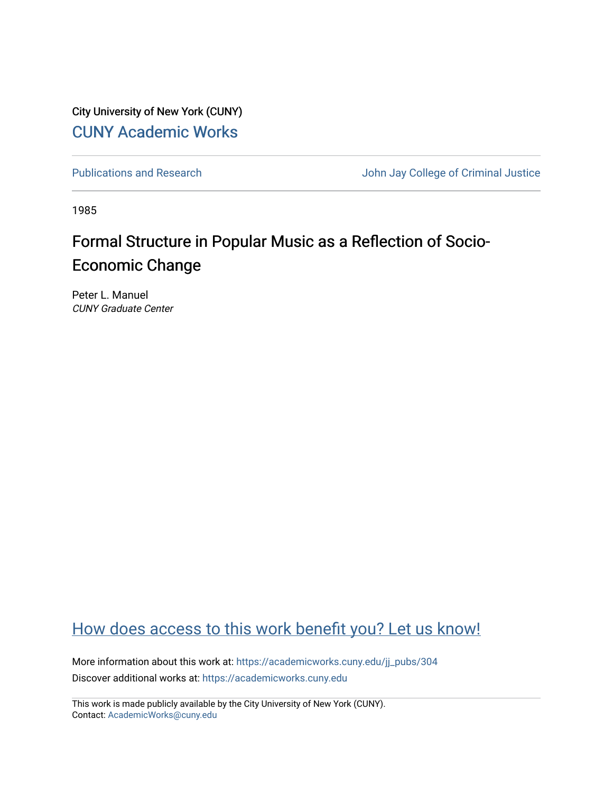City University of New York (CUNY) [CUNY Academic Works](https://academicworks.cuny.edu/) 

[Publications and Research](https://academicworks.cuny.edu/jj_pubs) **Value 2018** John Jay College of Criminal Justice

1985

# Formal Structure in Popular Music as a Reflection of Socio-Economic Change

Peter L. Manuel CUNY Graduate Center

### [How does access to this work benefit you? Let us know!](http://ols.cuny.edu/academicworks/?ref=https://academicworks.cuny.edu/jj_pubs/304)

More information about this work at: [https://academicworks.cuny.edu/jj\\_pubs/304](https://academicworks.cuny.edu/jj_pubs/304) Discover additional works at: [https://academicworks.cuny.edu](https://academicworks.cuny.edu/?)

This work is made publicly available by the City University of New York (CUNY). Contact: [AcademicWorks@cuny.edu](mailto:AcademicWorks@cuny.edu)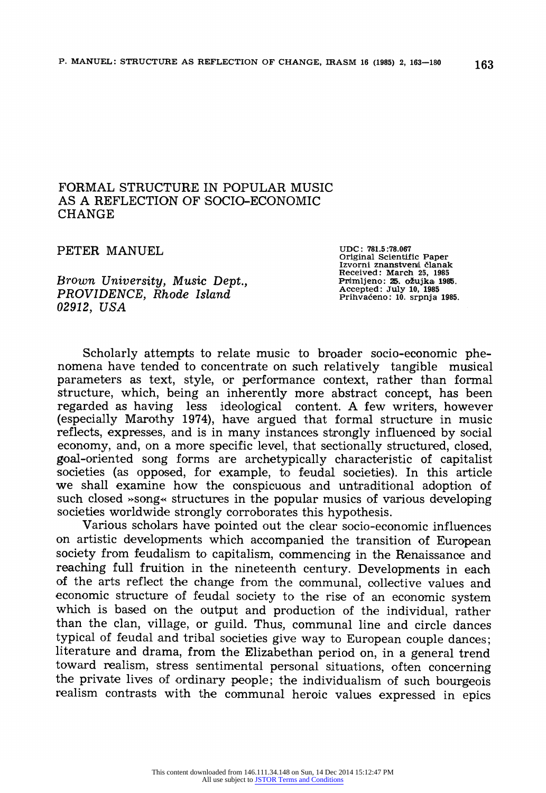### **FORMAL STRUCTURE IN POPULAR MUSIC AS A REFLECTION OF SOCIO-ECONOMIC CHANGE**

**Brown University, Music Dept., PROVIDENCE, Rhode Island 02912, USA** 

**PETER MANUEL CONSUMING PROPERTIER MANUEL** UDC: 781.5:78.067 Original Scientific Paper Izvorni znanstveni članak **Received: March 25, 1985 Primljeno: 25. ožujka 1985.**<br>Accepted: July 10, 1985<br>Prihvaćeno: 10. srpnja 1985.

**Scholarly attempts to relate music to broader socio-economic phenomena have tended to concentrate on such relatively tangible musical parameters as text, style, or performance context, rather than formal structure, which, being an inherently more abstract concept, has been regarded as having less ideological content. A few writers, however (especially Marothy 1974), have argued that formal structure in music reflects, expresses, and is in many instances strongly influenced by social economy, and, on a more specific level, that sectionally structured, closed, goal-oriented song forms are archetypically characteristic of capitalist societies (as opposed, for example, to feudal societies). In this article**  we shall examine how the conspicuous and untraditional adoption of **such closed >>song< structures in the popular musics of various developing societies worldwide strongly corroborates this hypothesis.** 

**Various scholars have pointed out the clear socio-economic influences on artistic developments which accompanied the transition of European society from feudalism to capitalism, commencing in the Renaissance and reaching full fruition in the nineteenth century. Developments in each of the arts reflect the change from the communal, collective values and economic structure of feudal society to the rise of an economic system which is based on the output and production of the individual, rather than the clan, village, or guild. Thus, communal line and circle dances typical of feudal and tribal societies give way to European couple dances; literature and drama, from the Elizabethan period on, in a general trend toward realism, stress sentimental personal situations, often concerning the private lives of ordinary people; the individualism of such bourgeois realism contrasts with the communal heroic values expressed in epics**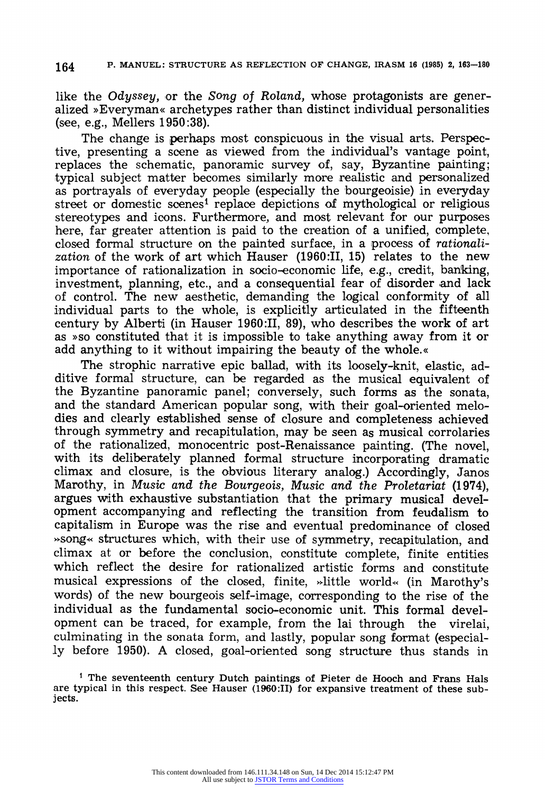**like the Odyssey, or the Song of Roland, whose protagonists are generalized >Everyman< archetypes rather than distinct individual personalities (see, e.g., Mellers 1950:38).** 

**The change is perhaps most conspicuous in the visual arts. Perspective, presenting a scene as viewed from the individual's vantage point, replaces the schematic, panoramic survey of, say, Byzantine painting; typical subject matter becomes similarly more realistic and personalized as portrayals of everyday people (especially the bourgeoisie) in everyday street or domestic scenes1 replace depictions of mythological or religious stereotypes and icons. Furthermore, and most relevant for our purposes here, far greater attention is paid to the creation of a unified, complete, closed formal structure on the painted surface, in a process of rationalization of the work of art which Hauser (1960:II, 15) relates to the new importance of rationalization in socio-economic life, e.g., credit, banking, investment, planning, etc., and a consequential fear of disorder and lack of control. The new aesthetic, demanding the logical conformity of all individual parts to the whole, is explicitly articulated in the fifteenth century by Alberti (in Hauser 1960:II, 89), who describes the work of art as >so constituted that it is impossible to take anything away from it or add anything to it without impairing the beauty of the whole.<** 

**The strophic narrative epic ballad, with its loosely-knit, elastic, additive formal structure, can be regarded as the musical equivalent of the Byzantine panoramic panel; conversely, such forms as the sonata, and the standard American popular song, with their goal-oriented melodies and clearly established sense of closure and completeness achieved through symmetry and recapitulation, may be seen as musical corrolaries of the rationalized, monocentric post-Renaissance painting. (The novel, with its deliberately planned formal structure incorporating dramatic climax and closure, is the obvious literary analog.) Accordingly, Janos Marothy, in Music and the Bourgeois, Music and the Proletariat (1974), argues with exhaustive substantiation that the primary musical development accompanying and reflecting the transition from feudalism to capitalism in Europe was the rise and eventual predominance of closed >>song< structures which, with their use of symmetry, recapitulation, and climax at or before the conclusion, constitute complete, finite entities which reflect the desire for rationalized artistic forms and constitute musical expressions of the closed, finite, >l.ittle world< (in Marothy's words) of the new bourgeois self-image, corresponding to the rise of the individual as the fundamental socio-economic unit. This formal development can be traced, for example, from the lai through the virelai, culminating in the sonata form, and lastly, popular song format (especially before 1950). A closed, goal-oriented song structure thus stands in** 

**<sup>1</sup> The seventeenth century Dutch paintings of Pieter de Hooch and Frans Hals are typical in this respect. See Hauser (1960:II) for expansive treatment of these subjects.**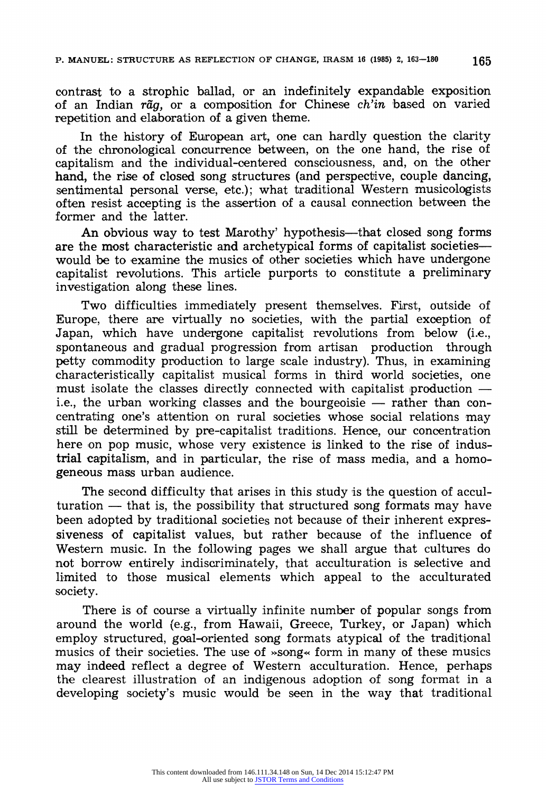**contrast to a strophic ballad, or an indefinitely expandable exposition of an Indian rag, or a composition for Chinese ch'in based on varied repetition and elaboration of a given theme.** 

**In the history of European art, one can hardly question the clarity of the chronological concurrence between, on the one hand, the rise of capitalism and the individual-centered consciousness, and, on the other hand, the rise of closed song structures (and perspective, couple dancing, sentimental personal verse, etc.); what traditional Western musicologists often resist accepting is the assertion of a causal connection between the former and the latter.** 

An obvious way to test Marothy' hypothesis---that closed song forms **are the most characteristic and archetypical forms of capitalist societieswould be to examine the musics of other societies which have undergone capitalist revolutions. This article purports to constitute a preliminary investigation along these lines.** 

**Two difficulties immediately present themselves. First, outside of Europe, there are virtually no societies, with the partial exception of Japan, which have undergone capitalist revolutions from below (i.e., spontaneous and gradual progression from artisan production through petty commodity production to large scale industry). Thus, in examining characteristically capitalist musical forms in third world societies, one must isolate the classes directly connected with capitalist production**i.e., the urban working classes and the bourgeoisie — rather than con**centrating one's attention on rural societies whose social relations may still be determined by pre-capitalist traditions. Hence, our concentration here on pop music, whose very existence is linked to the rise of industrial capitalism, and in particular, the rise of mass media, and a homogeneous mass urban audience.** 

**The second difficulty that arises in this study is the question of acculturation - that is, the possibility that structured song formats may have been adopted by traditional societies not because of their inherent expressiveness of capitalist values, but rather because of the influence of Western music. In the following pages we shall argue that cultures do not borrow entirely indiscriminately, that acculturation is selective and limited to those musical elements which appeal to the acculturated society.** 

**There is of course a virtually infinite number of popular songs from around the world (e.g., from Hawaii, Greece, Turkey, or Japan) which employ structured, goal-oriented song formats atypical of the traditional musics of their societies. The use of »song« form in many of these musics may indeed reflect a degree of Western acculturation. Hence, perhaps the clearest illustration of an indigenous adoption of song format in a developing society's music would be seen in the way that traditional**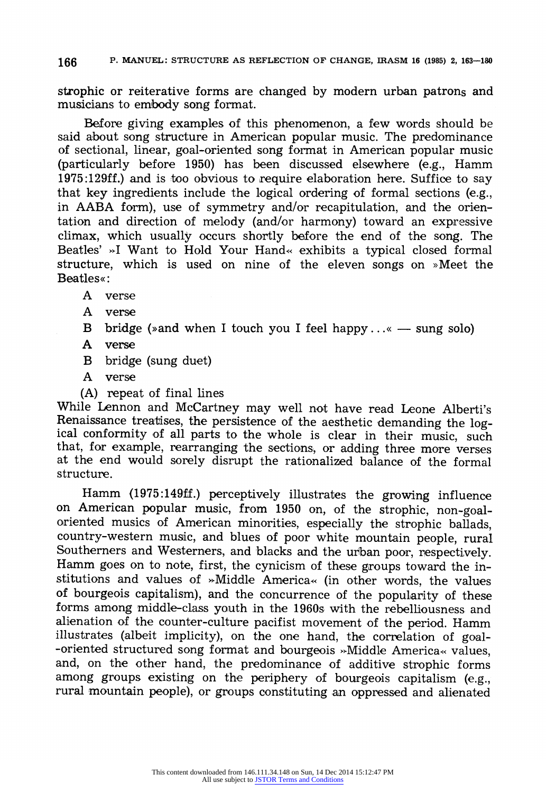**strophic or reiterative forms are changed by modern urban patrons and musicians to embody song format.** 

**Before giving examples of this phenomenon, a few words should be said about song structure in American popular music. The predominance of sectional, linear, goal-oriented song format in American popular music (particularly before 1950) has been discussed elsewhere (e.g., Hamm 1975:129ff.) and is too obvious to require elaboration here. Suffice to say that key ingredients include the logical ordering of formal sections (e.g., in AABA form), use of symmetry and/or recapitulation, and the orientation and direction of melody (and/or harmony) toward an expressive climax, which usually occurs shortly before the end of the song. The**  Beatles' »I Want to Hold Your Hand« exhibits a typical closed formal **structure, which is used on nine of the eleven songs on >>Meet the Beatles<:** 

- **A verse**
- **A verse**
- **B** bridge (»and when I touch you I feel happy...  $\ll -$  sung solo)
- **A verse**
- **B bridge (sung duet)**
- **A verse**
- **(A) repeat of final lines**

**While Lennon and McCartney may well not have read Leone Alberti's**  ical conformity of all parts to the whole is clear in their music, such **that, for example, rearranging the sections, or adding three more verses at the end would sorely disrupt the rationalized balance of the formal structure.** 

**Hamm (1975:149ff.) perceptively illustrates the growing influence on American popular music, from 1950 on, of the strophic, non-goal**oriented musics of American minorities, especially the strophic ballads, **country-western music, and blues of poor white mountain people, rural**  Southerners and Westerners, and blacks and the urban poor, respectively. **Hamm goes on to note, first, the cynicism of these groups toward the institutions and values of >Middle America< (in other words, the values of bourgeois capitalism), and the concurrence of the popularity of these forms among middle-class youth in the 1960s with the rebelliousness and alienation of the counter-culture pacifist movement of the period. Hamm illustrates (albeit implicity), on the one hand, the correlation of goal- -oriented structured song format and bourgeois >,Middle America< values, and, on the other hand, the predominance of additive strophic forms among groups existing on the periphery of bourgeois capitalism (e.g., rural mountain people), or groups constituting an oppressed and alienated**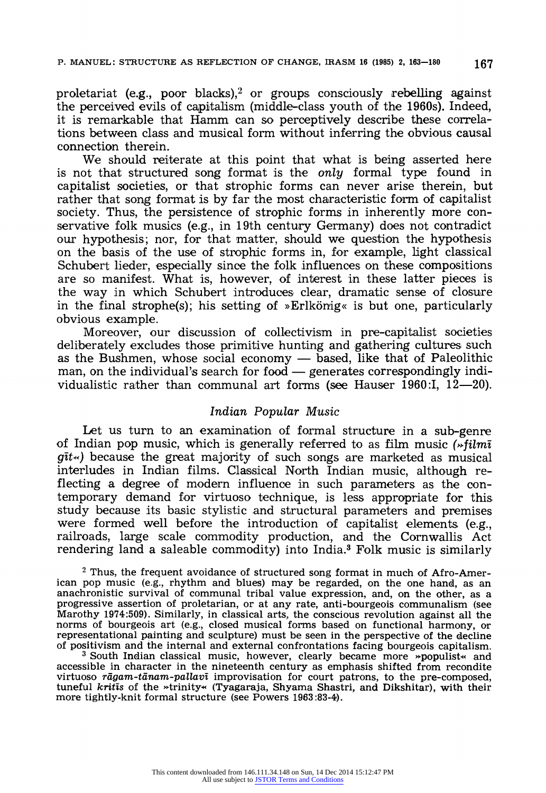**proletariat (e.g., poor blacks),2 or groups consciously rebelling against the perceived evils of capitalism (middle-class youth of the 1960s). Indeed, it is remarkable that Hamm can so perceptively describe these correla**tions between class and musical form without inferring the obvious causal **connection therein.** 

**We should reiterate at this point that what is being asserted here is not that structured song format is the only formal type found in capitalist societies, or that strophic forms can never arise therein, but rather that song format is by far the most characteristic form of capitalist society. Thus, the persistence of strophic forms in inherently more conservative folk musics (e.g., in 19th century Germany) does not contradict our hypothesis; nor, for that matter, should we question the hypothesis on the basis of the use of strophic forms in, for example, light classical Schubert lieder, especially since the folk influences on these compositions are so manifest. What is, however, of interest in these latter pieces is the way in which Schubert introduces, clear, dramatic sense of closure in the final strophe(s); his setting of >>Erlk6onig< is but one, particularly obvious example.** 

**Moreover, our discussion of collectivism in pre-capitalist societies deliberately excludes those primitive hunting and gathering cultures, such as the Bushmen, whose social economy - based, like that of Paleolithic**  man, on the individual's search for food — generates correspondingly individualistic rather than communal art forms (see Hauser 1960:I, 12-20).

### **Indian Popular Music**

**Let us turn to an examination of formal structure in a sub-genre**  of Indian pop music, which is generally referred to as film music (*»filmi* **git<) because the great majority of such songs are marketed as musical interludes in Indian films. Classical North Indian music, although reflecting a degree of modern influence in such parameters as the contemporary demand for virtuoso technique, is less appropriate for this study because its basic stylistic and structural parameters and premises**  were formed well before the introduction of capitalist elements (e.g., **railroads, large scale commodity production, and the Cornwallis Act rendering land a saleable commodity) into India.3 Folk music is similarly** 

**<sup>2</sup>Thus, the frequent avoidance of structured song format in much of Afro-American pop music (e.g., rhythm and blues) may be regarded, on the one hand, as an anachronistic survival of communal tribal value expression, and, on the other, as a progressive assertion of proletarian, or at any rate, anti-bourgeois communalism (see Marothy 1974:509). Similarly, in classical arts, the conscious revolution against all the norms of bourgeois art (e.g., closed musical forms based on functional harmony, or representational painting and sculpture) must be seen in the perspective of the decline** 

<sup>3</sup> South Indian classical music, however, clearly became more -populist« and **accessible in character in the nineteenth century as emphasis shifted from recondite**  virtuoso *rāgam-tānam-pallavī* improvisation for court patrons, to the pre-compose **tuneful kritis of the >trinity- (Tyagaraja, Shyama Shastri, and Dikshitar), with their more tightly-knit formal structure (see Powers 1963:83-4).**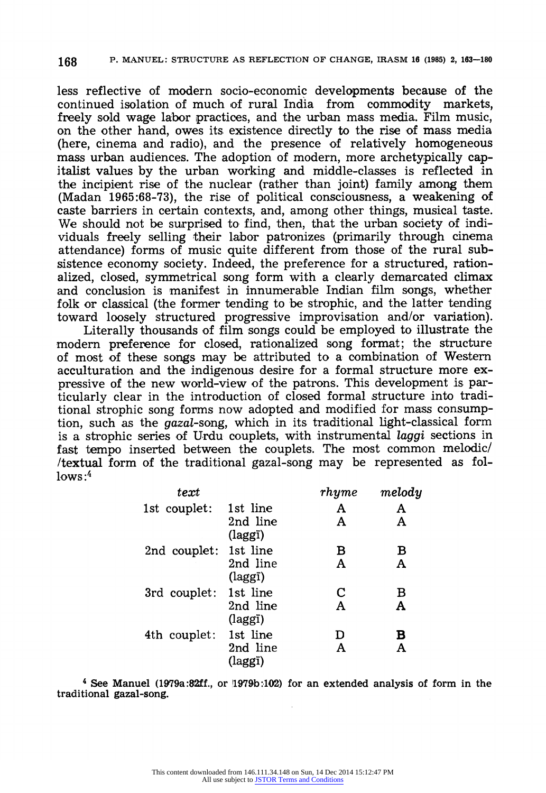**less reflective of modern socio-economic developments because of the continued isolation of much of rural India from commodity markets, freely sold wage labor practices, and the urban mass media. Film music, on the other hand, owes its existence directly to the rise of mass media (here, cinema and radio), and the presence of relatively homogeneous mass urban audiences. The adoption of modern, more archetypically capitalist values by the urban working and middle-classes is reflected in the incipient rise of the nuclear (rather than joint) family among them (Madan 1965:68-73), the rise of political consciousness, a weakening of caste barriers in certain contexts, and, among other things, musical taste. We should not be surprised to find, then, that the urban society of individuals freely selling their labor patronizes (primarily through cinema attendance) forms of music quite different from those of the rural subsistence economy society. Indeed, the preference for a structured, rationalized, closed, symmetrical song form with a clearly demarcated climax and conclusion is manifest in innumerable Indian film songs, whether folk or classical (the former tending to be strophic, and the latter tending toward loosely structured progressive improvisation and/or variation).** 

**Literally thousands of film songs could be employed to illustrate the modern preference for closed, rationalized song format; the structure of most of these songs may be attributed to a combination of Western acculturation and the indigenous desire for a formal structure more expressive of the new world-view of the patrons. This development is particularly clear in the introduction of closed formal structure into traditional strophic song forms now adopted and modified for mass consumption, such as the gazal-song, which in its traditional light-classical form is a strophic series of Urdu couplets, with instrumental laggi sections in fast tempo inserted between the couplets. The most common melodic/ /textual form of the traditional gazal-song may be represented as follows:4** 

| text         |                              | rhyme | melody |
|--------------|------------------------------|-------|--------|
| 1st couplet: | 1st line                     | A     | A      |
|              | 2nd line<br>(laggī)          | A     | A      |
| 2nd couplet: | 1st line                     | в     | в      |
|              | 2nd line<br>$(\text{lagg1})$ | A     | A      |
| 3rd couplet: | 1st line                     | C     | в      |
|              | 2nd line<br>(lagg1)          | Α     | A      |
| 4th couplet: | 1st line                     | D     | в      |
|              | 2nd line<br>(laggī)          |       | А      |

**4** See Manuel (1979a:82ff., or 1979b:102) for an extended analysis of form in the **traditional gazal-song.**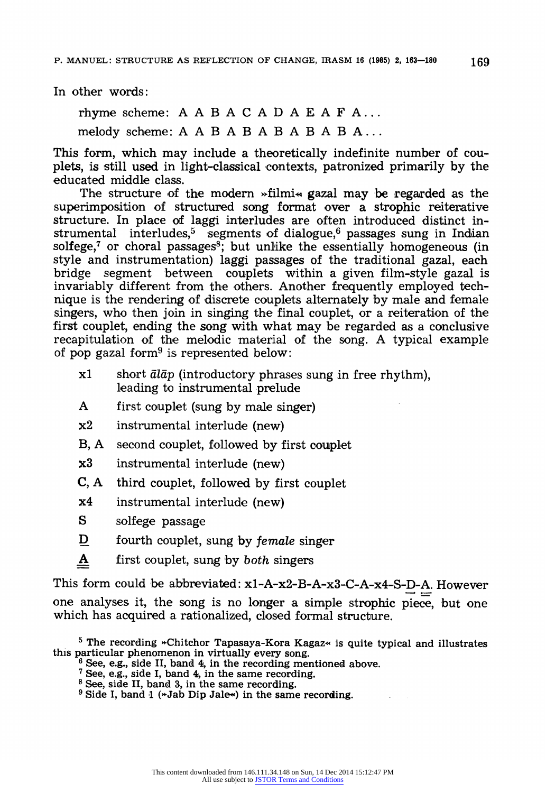**In other words:** 

**rhyme scheme: A A B A C A D A E A F A... melody scheme: AA B A B A BA A B B A...** 

**This form, which may include a theoretically indefinite number of couplets, is still used in light-classical contexts, patronized primarily by the educated middle class.** 

The structure of the modern »filmi« gazal may be regarded as the **superimposition of structured song format over a strophic reiterative structure. In place of laggi interludes are often introduced distinct instrumental interludes,5 segments of dialogue,6 passages sung in Indian**  solfege,<sup>7</sup> or choral passages<sup>8</sup>; but unlike the essentially homogeneous (in **style and instrumentation) laggi passages of the traditional gazal, each bridge segment between couplets within a given film-style gazal is invariably different from the others. Another frequently employed technique is the rendering of discrete couplets alternately by male and female singers, who then join in singing the final couplet, or a reiteration of the first couplet, ending the song with what may be regarded as a conclusive recapitulation of the melodic material of the song. A typical example of pop gazal form9 is represented below:** 

- **x1** short  $\bar{a}l\bar{a}p$  (introductory phrases sung in free rhythm), **leading to instrumental prelude**
- **A first couplet (sung by male singer)**
- **x2 instrumental interlude (new)**
- **B, A second couplet, followed by first couplet**
- **x3 instrumental interlude (new)**
- **C, A third couplet, followed by first couplet**
- **x4 instrumental interlude (new)**
- **S solfege passage**
- **D fourth couplet, sung by female singer**
- **A first couplet, sung by both singers**

**This form could be abbreviated: xl-A-x2-B-A-x3-C-A-x4-S-D-A. However one analyses it, the song is no longer a simple strophic piece, but one which has acquired a rationalized, closed formal structure.** 

- **the See, e.g., side II, band 4, in the recording mentioned above.** <sup>7</sup> See, e.g., side I, band 4, in the same recording.
- 
- **7 See, e.g., side I, band 4, in the same recording. <sup>8</sup>See, side II, band 3, in the same recording. 9 Side I, band 1 (\*Jab Dip Jale?) in the same recording.**
- 

<sup>&</sup>lt;sup>5</sup> The recording \*Chitchor Tapasaya-Kora Kagaz\* is quite typical and illustrates this particular phenomenon in virtually every song.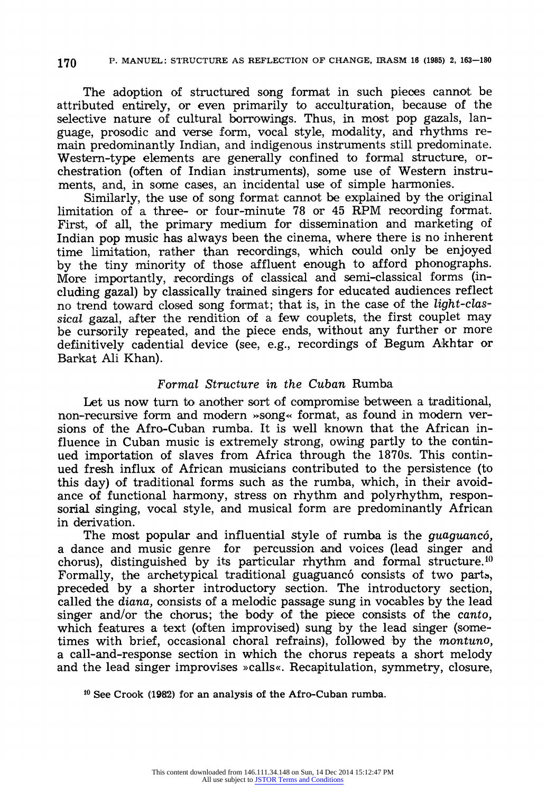### **170 P. MANUEL: S'RUCTURE AS REFLECTION OF CHANGE, IRASM 16 (1985) 2, 163-180**

**The adoption of structured song format in such pieces cannot be attributed entirely, or even primarily to acculturation, because of the selective nature of cultural borrowings. Thus, in most pop gazals, language, prosodic and verse form, vocal style, modality, and rhythms remain predominantly Indian, and indigenous instruments still predominate. Western-type elements are generally confined to formal structure, orchestration (often of Indian instruments), some use of Western instruments, and, in some cases, an incidental use of simple harmonies.** 

**Similarly, the use of song format cannot be explained by the original limitation of a three- or four-minute 78 or 45 RPM recording format. First, of all, the primary medium for dissemination and marketing of Indian pop music has always been the cinema, where there is no inherent time limitation, rather than recordings, which could only be enjoyed by the tiny minority of those affluent enough to afford phonographs.**  More importantly, recordings of classical and semi-classical forms (in**cluding gazal) by classically trained singers for educated audiences reflect no trend toward closed song format; that is, in the case of the light-classical gazal, after the rendition of a few couplets, the first couplet may be cursorily repeated, and the piece ends, without any further or more**  definitively cadential device (see, e.g., recordings of Begum Akhtar or **Barkat Ali Khan).** 

### **Formal Structure in the Cuban Rumba**

**Let us now turn to another sort of compromise between a traditional,**  non-recursive form and modern »song« format, as found in modern ver**sions of the Afro-Cuban rumba. It is well known that the African influence in Cuban music is extremely strong, owing partly to the continued importation of slaves from Africa through the 1870s. This continued fresh influx of African musicians contributed to the persistence (to this day) of traditional forms such as the rumba, which, in their avoidance of functional harmony, stress on rhythm and polyrhythm, responsorial singing, vocal style, and musical form are predominantly African in derivation.** 

**The most popular and influential style of rumba is the guaguanc6,**  a dance and music genre for percussion and voices (lead singer and **chorus), distinguished by its particular rhythm and formal structure.10**  Formally, the archetypical traditional guaguancó consists of two parts, **preceded by a shorter introductory section. The introductory section, called the diana, consists of a melodic passage sung in vocables by the lead singer and/or the chorus; the body of the piece consists of the canto, which features a text (often improvised) sung by the lead singer (sometimes with brief, occasional choral refrains), followed by the montuno, a call-and-response section in which the chorus repeats a short melody**  and the lead singer improvises »calls«. Recapitulation, symmetry, closure,

**10 See Crook (1982) for an analysis of the Afro-Cuban rumba.**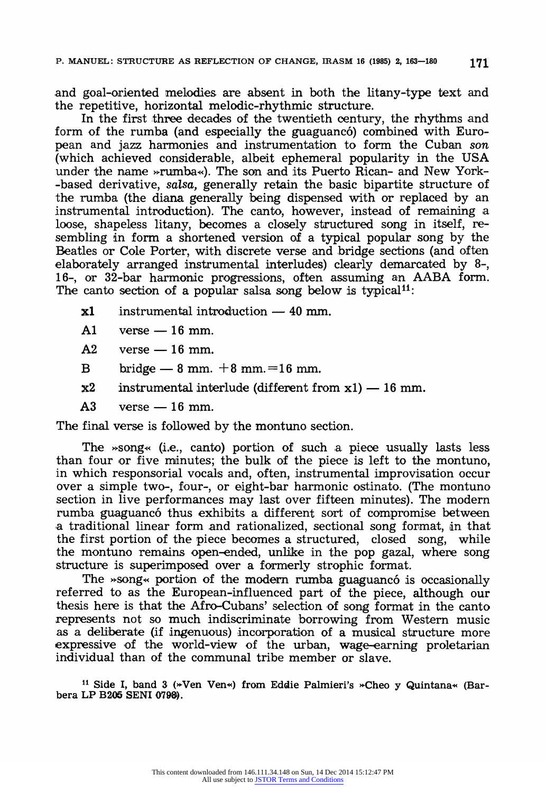**and goal-oriented melodies are absent in both the litany-type text and the repetitive, horizontal melodic-rhythmic structure.** 

**In the first three decades of the twentieth century, the rhythms and form of the rumba (and especially the guaguanc6) combined with European and jazz harmonies and instrumentation to form the Cuban son (which achieved considerable, albeit ephemeral popularity in the USA under the name >rumba<<). The son and its Puerto Rican- and New York- -based derivative, salsa, generally retain the basic bipartite structure of the rumba (the diana generally being dispensed with or replaced by an**  instrumental introduction). The canto, however, instead of remaining a **loose, shapeless litany, becomes a closely structured song in itself, resembling in form a shortened version of a typical popular song by the Beatles or Cole Porter, with discrete verse and bridge sections (and often elaborately arranged instrumental interludes) clearly demarcated by 8-, 16-, or 32-bar harmonic progressions, often assuming an AABA form.**  The canto section of a popular salsa song below is typical<sup>11</sup>:

- **x1** instrumental introduction  $-40$  mm.
- A1 verse 16 mm.
- A2 verse 16 mm.
- **B** bridge  $-8$  mm.  $+8$  mm.  $=16$  mm.
- **x2** instrumental interlude (different from x1) 16 mm.
- A3 verse 16 mm.

**The final verse is followed by the montuno section.** 

The »song« (i.e., canto) portion of such a piece usually lasts less **than four or five minutes; the bulk of the piece is left to the montuno, in which responsorial vocals and, often, instrumental improvisation occur**  over a simple two-, four-, or eight-bar harmonic ostinato. (The montuno **section in live performances may last over fifteen minutes). The modern rumba guaguanc6 thus exhibits a different sort of compromise between a traditional linear form and rationalized, sectional song format, in that the first portion of the piece becomes a structured, closed song, while the montuno remains open-ended, unlike in the pop gazal, where song structure is superimposed over a formerly strophic format.** 

The »song« portion of the modern rumba guaguancó is occasionally **referred to as the European-influenced part of the piece, although our thesis here is that the Afro-Cubans' selection of song format in the canto represents not so much indiscriminate borrowing from Western music as a deliberate (if ingenuous) incorporation of a musical structure more expressive of the world-view of the urban, wage-earning proletarian individual than of the communal tribe member or slave.** 

<sup>11</sup> Side I, band 3 (\*Ven Ven\*) from Eddie Palmieri's \*Cheo y Quintana\* (Bar**bera LP B2,05 SENI 0798).**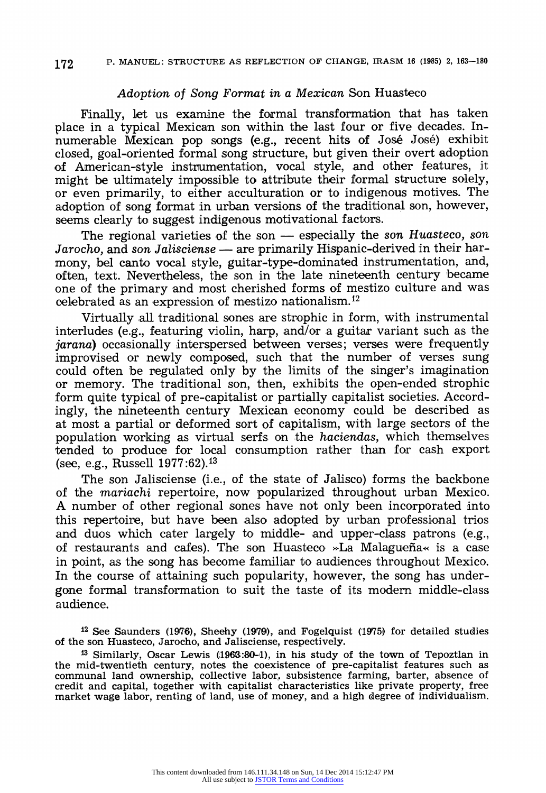### **Adoption of Song Format in a Mexican Son Huasteco**

**Finally, let us examine the formal transformation that has taken place in a typical Mexican son within the last four or five decades. Innumerable Mexican pop songs (e.g., recent hits of Jose Jose) exhibit closed, goal-oriented formal song structure, but given their overt adoption of American-style instrumentation, vocal style, and other features, it might be ultimately impossible to attribute their formal structure solely, or even primarily, to either acculturation or to indigenous motives. The adoption of song format in urban versions of the traditional son, however, seems clearly to suggest indigenous motivational factors.** 

The regional varieties of the son — especially the son Huasteco, son Jarocho, and son Jalisciense - are primarily Hispanic-derived in their har**mony, bel canto vocal style, guitar-type-dominated instrumentation, and, often, text. Nevertheless, the son in the late nineteenth century became one of the primary and most cherished forms of mestizo culture and was celebrated as an expression of mestizo nationalism.12** 

**Virtually .all traditional sones are strophic in form, with instrumental interludes (e.g., featuring violin, harp, and/or a guitar variant such as the jarana) occasionally interspersed between verses; verses were frequently improvised or newly composed, such that the number of verses sung could often be regulated only by the limits of the singer's imagination or memory. The traditional son, then, exhibits the open-ended strophic form quite typical of pre-capitalist or partially capitalist societies. Accordingly, the nineteenth century Mexican economy could be described as at most a partial or deformed sort of capitalism, with large sectors of the population working as virtual serfs on the haciendas, which themselves tended to produce for local consumption rather than for cash export (see, e.g., Russell 1977:62).13** 

**The son Jalisciense (i.e., of the state of Jalisco) forms the backbone of the mariachi repertoire, now popularized throughout urban Mexico. A number of other regional sones have not only been incorporated into this repertoire, but have been also adopted by urban professional trios and duos which cater largely to middle- and upper-class patrons (e.g., of restaurants and cafes). The son Huasteco >>La Malaguefia< is a case in point, as the song has become familiar to audiences throughout Mexico. In the course of attaining such popularity, however, the song has undergone formal transformation to suit the taste of its modern middle-class audience.** 

<sup>12</sup> See Saunders (1976), Sheehy (1979), and Fogelquist (1975) for detailed studies **of the son Huasteco, Jarocho, and Jalisciense, respectively.** 

**13 Similarly, Oscar Lewis (1963:80-1), in his study of the town of Tepoztlan in the mid-twentieth century, notes the coexistence of pre-capitalist features such as communal land ownership, collective labor, subsistence farming, barter, absence of credit and capital, together with capitalist characteristics like private property, free market wage labor, renting of land, use of money, and a high degree of individualism.**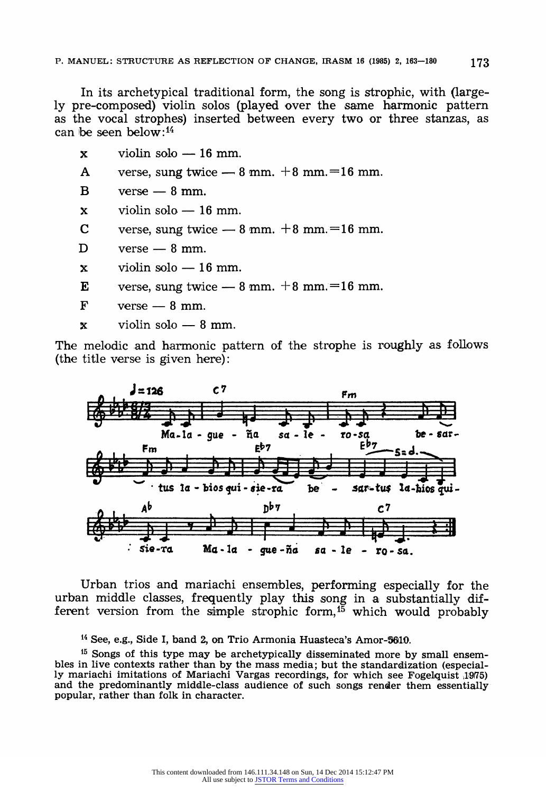**In its archetypical traditional form, the song is strophic, with (largely pre-composed) violin solos (played over the same harmonic pattern as the vocal strophes) inserted between every two or three stanzas, as can be seen below:14** 

- **x** violin solo 16 mm.
- A verse, sung twice  $-8$  mm.  $+8$  mm.  $=16$  mm.
- $B$  verse  $-8$  mm.
- **x** violin solo 16 mm.
- **C** verse, sung twice  $-8$  mm,  $+8$  mm,  $=16$  mm.
- $D$  verse  $-8$  mm.
- $x$  violin solo  $-16$  mm.
- **E** verse, sung twice  $-8$  mm.  $+8$  mm.  $=16$  mm.
- $F$  verse  $-8$  mm.
- $\mathbf{x}$  violin solo  $-8$  mm.

**The melodic and harmonic pattern of the strophe is roughly as follows (the title verse is given here):** 



**Urban trios and mariachi ensembles, performing especially for the urban middle classes, frequently play this song in a substantially different version from the simple strophic form,15 which would probably** 

<sup>14</sup> See, e.g., Side I, band 2, on Trio Armonia Huasteca's Amor-5610.

**<sup>15</sup>Songs of this type may be archetypically disseminated more by small ensembles in live contexts rather than by the mass media; but the standardization (especial**ly mariachi imitations of Mariachi Vargas recordings, for which see Fogelquist 1975) **and the predominantly middle-class audience of such songs render them essentially popular, rather than folk in character.**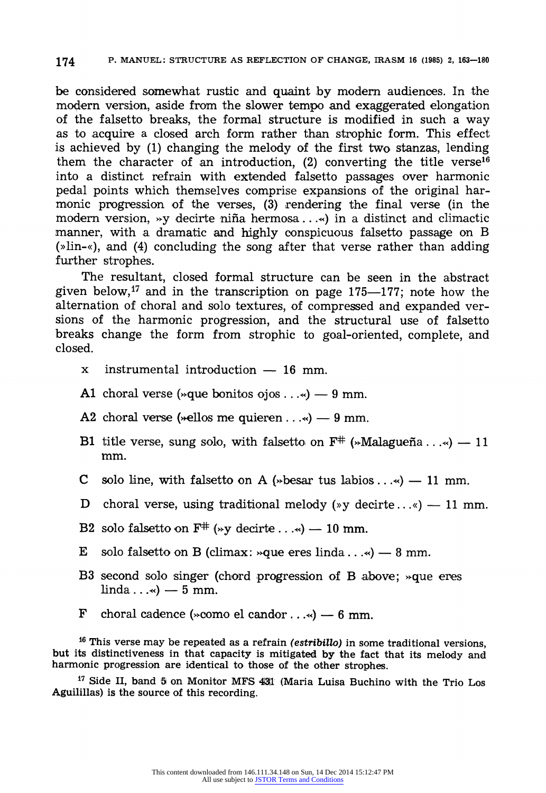### **174 P. MANUEL: STRUCTURE AS REFLECTION OF CHANGE, IRASM 16 (1985) 2, 163-180**

**be considered somewhat rustic and quaint by modern audiences. In the modern version, aside from the slower tempo and exaggerated elongation of the falsetto breaks, the formal structure is modified in such a way as to acquire a closed arch form rather than strophic form. This effect is achieved by (1) changing the melody of the first two, stanzas, lending**  them the character of an introduction,  $(2)$  converting the title verse<sup>16</sup> **into a distinct refrain with extended falsetto passages over harmonic pedal points which themselves comprise expansions of the original harmonic progression of the verses, (3) rendering the final verse (in the modern version, >y decirte niina hermosa...<) in a distinct and climactic manner, with a dramatic and highly conspicuous falsetto passage on B (>lin-<), and (4) concluding the song after that verse rather than adding further strophes.** 

**The resultant, closed formal structure can be seen in the abstract**  given below,<sup>17</sup> and in the transcription on page 175-177; note how the **alternation of choral and solo textures, of compressed and expanded versions of the harmonic progression, and the structural use of falsetto breaks change the form from strophic to goal-oriented, complete, and closed.** 

- **x** instrumental introduction  $-16$  mm.
- Al choral verse ( $\sqrt{q}$ ue bonitos ojos... $\sqrt{q}$ ) 9 mm.
- A2 choral verse ( $\ast$ ellos me quieren... $\ast$ )  $-$  9 mm.
- **B1** title verse, sung solo, with falsetto on  $\mathbf{F}^{\#}$  (»Malagueña....«) 11 **mm.**
- **C** solo line, with falsetto on A ( $\ast$ besar tus labios... $\ast$ ) 11 mm.
- **D** choral verse, using traditional melody (>y decirte...<) 11 mm.
- **B2** solo falsetto on  $\mathbb{F}^{\#}$  ( $\ast$ y decirte ... $\ast$ ) 10 mm.
- **E** solo falsetto on B (climax:  $\rightarrow$ que eres linda... $\rightarrow$ )  $-$  8 mm.
- **B3 second solo singer (chord progression of B above; >que eres**   $\lim_{x \to \infty}$  **- 5 mm.**
- **F** choral cadence  $(\infty$ como el candor... $\infty$ )  $6$  mm.

**<sup>16</sup>This verse may be repeated as a refrain (estribillo) in some traditional versions, but its distinctiveness in that capacity is mitigated by the fact that its melody and harmonic progression are identical to those of the other strophes.** 

<sup>17</sup> Side II, band 5 on Monitor MFS 431 (Maria Luisa Buchino with the Trio Los **Aguilillas) is the source of this recording.**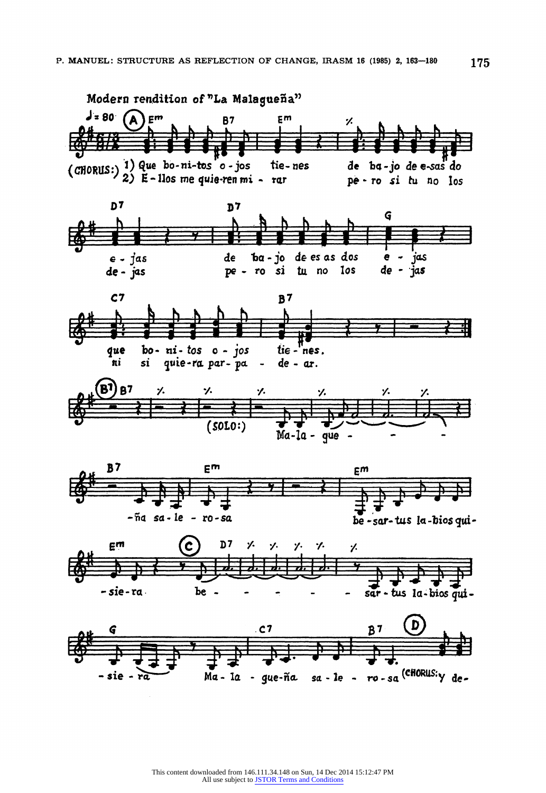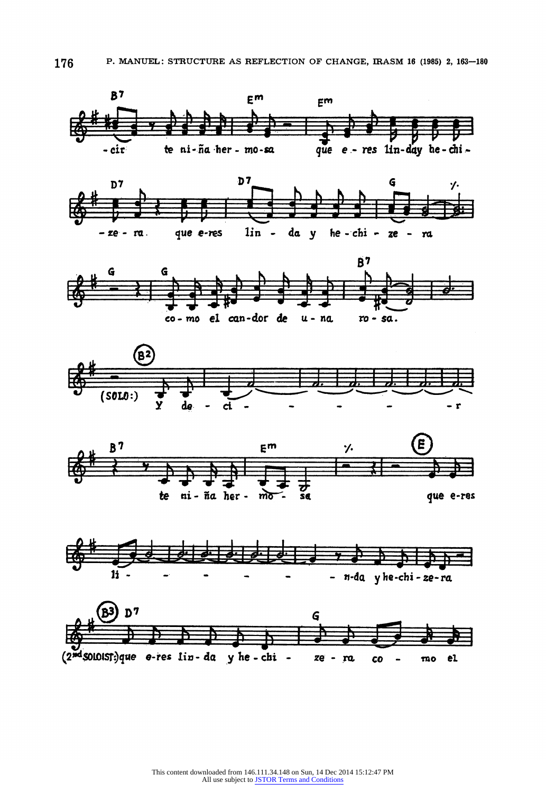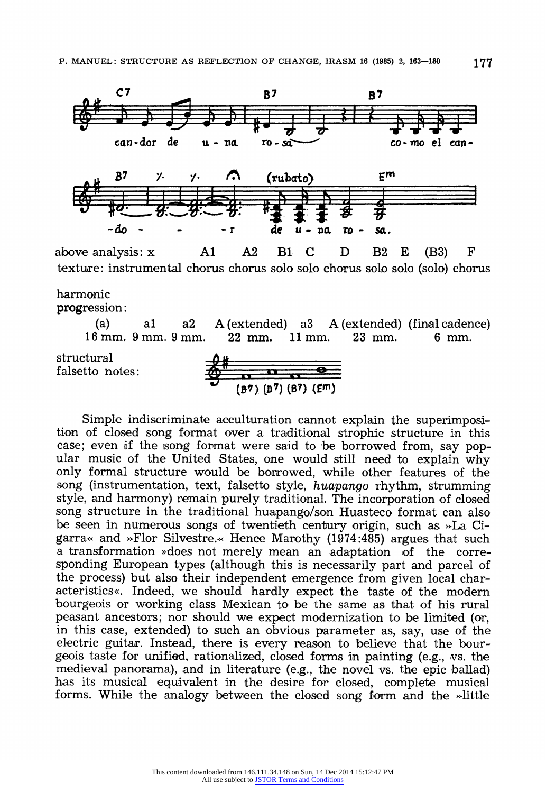

**above analysis: x Al A2 B1 C D B2 E (B3) F texture: instrumental chorus chorus solo solo chorus solo solo (solo) chorus** 

**harmonic progression:** 

**(a) al a2 A (extended) a3 A (extended) (final cadence) 16 mm 9mm. 9 mm. 22 mm. 11 mm. 23 mm. 6 mm. structural**  falsetto notes: **(Be') (D7) (B7) (Em)** 

**Simple indiscriminate acculturation cannot explain the superimposition of closed song format over a traditional strophic structure in this case; even if the song format were said to be borrowed from, say popular music of the United States, one would still need to explain why only formal structure would be borrowed, while other features of the song (instrumentation, text, falsetto style, huapango rhythm, strumming style, and harmony) remain purely traditional. The incorporation of closed song structure in the traditional huapango/son Huasteco format can also**  be seen in numerous songs of twentieth century origin, such as »La Cigarra« and »Flor Silvestre.« Hence Marothy (1974:485) argues that such **a transformation >does not merely mean an adaptation of the corresponding European types (although this is necessarily part and parcel of the process) but also their independent emergence from given local characteristics<<. Indeed, we should hardly expect the taste of the modern bourgeois or working class Mexican to be the same as that of his rural peasant ancestors; nor should we expect modernization to be limited (or, in this case, extended) to such an obvious parameter as, say, use of the electric guitar. Instead, there is every reason to believe that the bourgeois taste for unified, rationalized, closed forms in painting (e.g., vs. the medieval panorama), and in literature (e.g., the novel vs. the epic ballad) has its musical equivalent in the desire for closed, complete musical forms. While the analogy between the closed song form and the >little**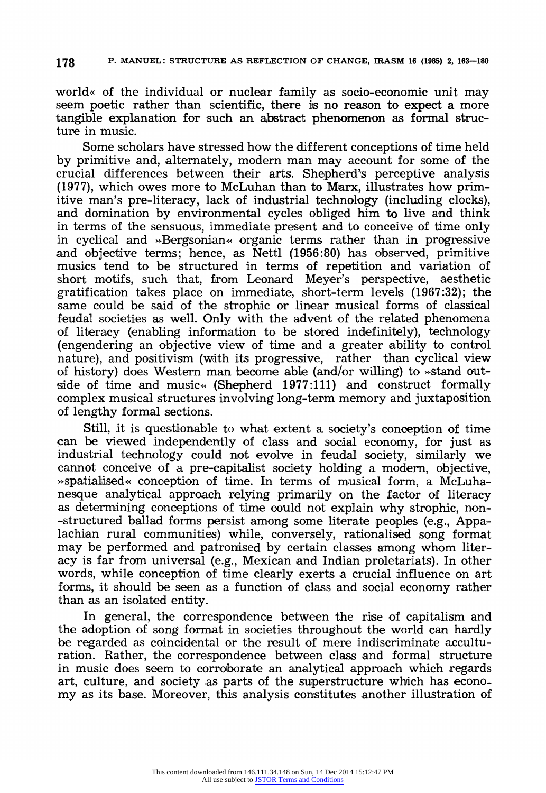**world< of the individual or nuclear family as socio-economic unit may seem poetic rather than scientific, there is no reason to expect a more tangible explanation for such an abstract phenomenon as formal structure in music.** 

**Some scholars have stressed how the different conceptions of time held by primitive and, alternately, modern man may account for some of the crucial differences between their arts. Shepherd's perceptive analysis (1977), which owes more to McLuhan than to Marx, illustrates how primnitive man's pre-literacy, lack of industrial technology (including clocks), and domination by environmental cycles obliged him to live and think in terms of the sensuous, immediate present and to conceive of time only in cyclical and >Blergsonian\*< organic terms rather than in progressive and objective terms; hence, as Nettl (1956:80) has observed, primitive musics tend to be structured in terms of repetition and variation of short motifs, such that, from Leonard Meyer's perspective, aesthetic gratification takes place on immediate, short-term levels (1967:32); the same could be said of the strophic or linear musical forms of classical feudal societies as well. Only with the advent of the related phenomena of literacy (enabling information to be stored indefinitely), technology (engendering an objective view of time and a greater ability to control nature), and positivism (with its progressive, rather than cyclical view of history) does Western man become able (and/or willing) to >stand out**side of time and music« (Shepherd 1977:111) and construct formally **complex musical structures involving long-term memory and juxtaposition of lengthy formal sections.** 

**Still, it is questionable to what extent a society's conception of time can be viewed independently of class and social economy, for just as industrial technology could not evolve in feudal society, similarly we cannot conceive of a pre-capitalist society holding a modern, objective,**  »spatialised« conception of time. In terms of musical form, a McLuha**nesque analytical approach relying primarily on the factor of literacy as determining conceptions of time could not explain why strophic, non- -structured ballad forms persist among some literate peoples (e.g., Appalachian rural communities) while, conversely, rationalised song format may be performed and patronised by certain classes among whom literacy is far from universal (e.g., Mexican and Indian proletariats). In other words, while conception of time clearly exerts a crucial influence on art forms, it should be seen as a function of class and social economy rather than as an isolated entity.** 

**In general, the correspondence between the rise of capitalism and the adoption of song format in societies throughout the world can hardly be regarded as coincidental or the result of mere indiscriminate acculturation. Rather, the correspondence between class and formal structure in music does seem to corroborate an analytical approach which regards art, culture, and society as parts of the superstructure which has economy as its base. Moreover, this analysis constitutes another illustration of**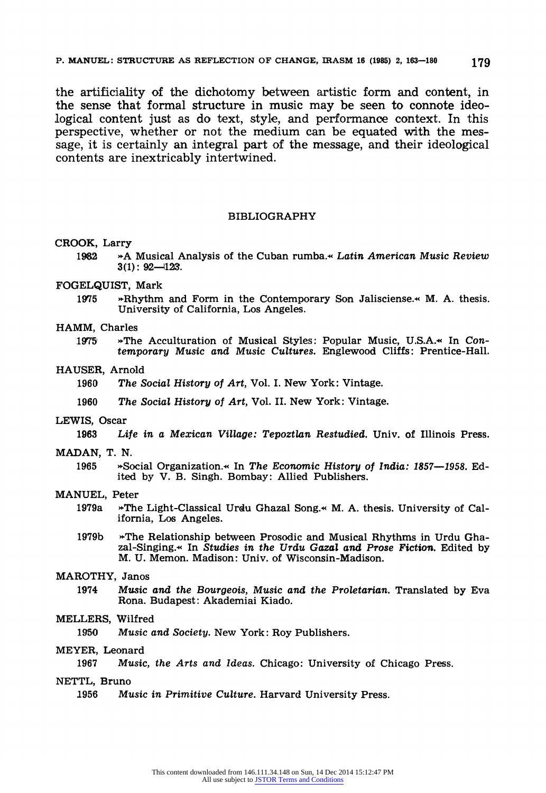**the artificiality of the dichotomy between artistic form and content, in the sense that formal structure in music may be seen to connote ideological content just as do text, style, and performance context. In this perspective, whether or not the medium can be equated with the message, it is certainly an integral part of the message, and their ideological contents are inextricably intertwined.** 

### **BIBLIOGRAPHY**

### **CROOK, Larry**

**1962 -A Musical Analysis of the Cuban rumba.< Latin American Music Review 3(1): 92--123.** 

### **FOGELQUIST, Mark**

1975 -Rhythm and Form in the Contemporary Son Jalisciense.<sup>«</sup> M. A. thesis. **University of California, Los Angeles.** 

### **HAMM, Charles**

1975 **\*The Acculturation of Musical Styles: Popular Music, U.S.A.\* In Contemporary Music and Music Cultures. Englewood Cliffs: Prentice-Hall.** 

### **HAUSER, Arnold**

The Social History of Art, Vol. I. New York: Vintage.

**1960 The Social History of Art, Vol. II. New York: Vintage.** 

#### **LEWIS, Oscar**

**1963 Life in a Mexican Village: Tepoztlan Restudied. Univ. of Illinois Press.** 

### **MADAN, T. N.**<br>1965 \* So

**1965 -Social Organization., In The Economic History of India: 1857-1958. Edited by V. B. Singh. Bombay: Allied Publishers.** 

### **MANUEL, Peter**

- 1979a **-The Light-Classical Urdu Ghazal Song.** M. A. thesis. University of Cal**ifornia, Los Angeles.**
- 1979b **\*The Relationship between Prosodic and Musical Rhythms in Urdu Ghazal-Singing." In Studies in the Urdu Gazal and Prose Fiction. Edited by M. U. Memon. Madison: Univ. of Wisconsin-Madison.**

### **MAROTHY, Janos**

**1974 Music and the Bourgeois, Music and the Proletarian. Translated by Eva Rona. Budapest: Akademiai Kiado.** 

### **MELLERS, Wilfred**

**1950 Music and Society. New York: Roy Publishers.** 

### **MEYER, Leonard**

**1967 Music, the Arts and Ideas. Chicago: University of Chicago Press.** 

### **NETTL, Bruno**

**1956 Music in Primitive Culture. Harvard University Press.**